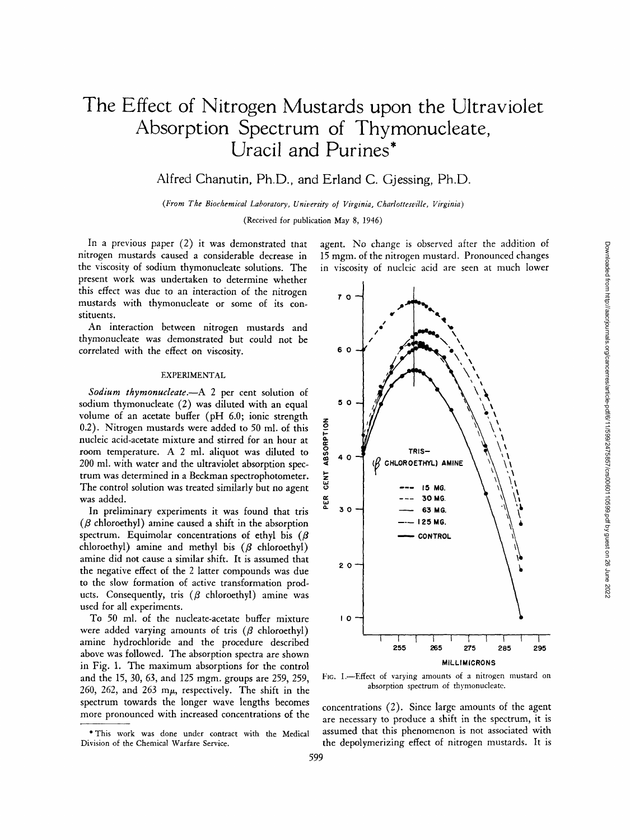# **The Effect of Nitrogen Mustards upon the Ultraviolet Absorption Spectrum of Thymonucleate, Uracil and Purines\***

Alfred Chanutin, Ph.D., and Erland C. Gjessing, Ph.D.

*(From The Biochemical Laboratory, University of Virginia, Charlottesville, Virginia)* 

(Received for publication May 8, 1946)

In a previous paper  $(2)$  it was demonstrated that nitrogen mustards caused a considerable decrease in the viscosity of sodium thymonucleate solutions. The present work was undertaken to determine whether this effect was due to an interaction of the nitrogen mustards with thymonucleate or some of its constituents.

An interaction between nitrogen mustards and thymonucleate was demonstrated but could not be correlated with the effect on viscosity.

## EXPERIMENTAL

*Sodium thymonucleate.--A* 2 per cent solution of sodium thymonucleate (2) was diluted with an equal volume of an acetate buffer (pH 6.0; ionic strength 0.2). Nitrogen mustards were added to 50 ml. of this nucleic acid-acetate mixture and stirred for an hour at room temperature. A 2 ml. aliquot was diluted to 200 ml. with water and the ultraviolet absorption spectrum was determined in a Beckman spectrophotometer. The control solution was treated similarly but no agent was added.

In preliminary experiments it was found that tris  $(\beta$  chloroethyl) amine caused a shift in the absorption spectrum. Equimolar concentrations of ethyl bis ( $\beta$ chloroethyl) amine and methyl bis  $(\beta \text{ chloroethyl})$ amine did not cause a similar shift. It is assumed that the negative effect of the 2 latter compounds was due to the slow formation of active transformation products. Consequently, tris  $(\beta \text{ chloroethyl})$  amine was used for all experiments.

To 50 ml. of the nucleate-acetate buffer mixture were added varying amounts of tris  $(\beta \text{ chloroethyl})$ amine hydrochloride and the procedure described above was followed. The absorption spectra are shown in Fig. 1. The maximum absorptions for the control and the 15, 30, 63, and 125 mgm. groups are 259, 259, 260, 262, and 263 m $\mu$ , respectively. The shift in the spectrum towards the longer wave lengths becomes more pronounced with increased concentrations of the

\*This work was done under contract with the Medical Division of the Chemical Warfare Service.

agent. No change is observed after the addition of 15 mgm. of the nitrogen mustard. Pronounced changes in viscosity of nucleic acid are seen at much lower



FIG. 1.-Effect of varying amounts of a nitrogen mustard on absorption spectrum of thymonucleate.

concentrations (2). Since large amounts of the agent are necessary to produce a shift in the spectrum, it is assumed that this phenomenon is not associated with the depolymerizing effect of nitrogen mustards. It is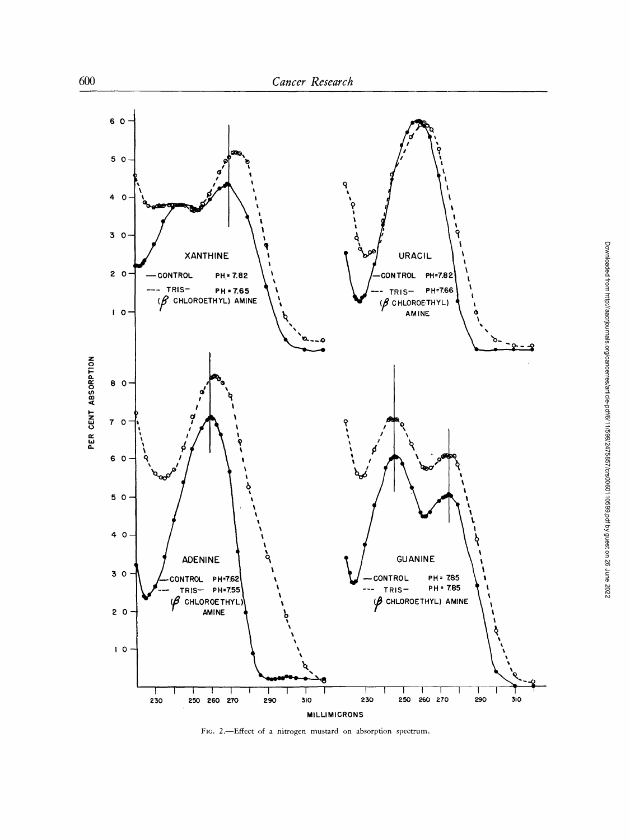

FIG. 2.-Effect of a nitrogen mustard on absorption spectrum.